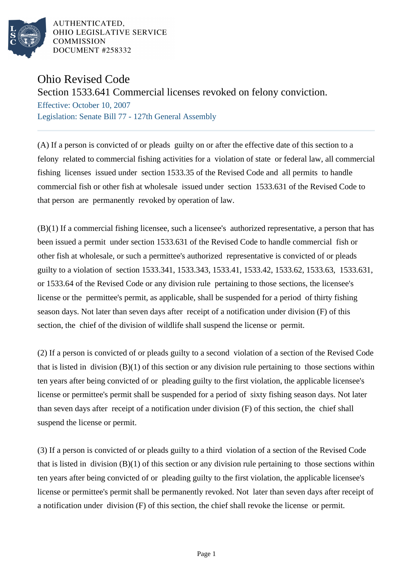

AUTHENTICATED. OHIO LEGISLATIVE SERVICE **COMMISSION** DOCUMENT #258332

## Ohio Revised Code

## Section 1533.641 Commercial licenses revoked on felony conviction.

Effective: October 10, 2007 Legislation: Senate Bill 77 - 127th General Assembly

(A) If a person is convicted of or pleads guilty on or after the effective date of this section to a felony related to commercial fishing activities for a violation of state or federal law, all commercial fishing licenses issued under section 1533.35 of the Revised Code and all permits to handle commercial fish or other fish at wholesale issued under section 1533.631 of the Revised Code to that person are permanently revoked by operation of law.

(B)(1) If a commercial fishing licensee, such a licensee's authorized representative, a person that has been issued a permit under section 1533.631 of the Revised Code to handle commercial fish or other fish at wholesale, or such a permittee's authorized representative is convicted of or pleads guilty to a violation of section 1533.341, 1533.343, 1533.41, 1533.42, 1533.62, 1533.63, 1533.631, or 1533.64 of the Revised Code or any division rule pertaining to those sections, the licensee's license or the permittee's permit, as applicable, shall be suspended for a period of thirty fishing season days. Not later than seven days after receipt of a notification under division (F) of this section, the chief of the division of wildlife shall suspend the license or permit.

(2) If a person is convicted of or pleads guilty to a second violation of a section of the Revised Code that is listed in division  $(B)(1)$  of this section or any division rule pertaining to those sections within ten years after being convicted of or pleading guilty to the first violation, the applicable licensee's license or permittee's permit shall be suspended for a period of sixty fishing season days. Not later than seven days after receipt of a notification under division (F) of this section, the chief shall suspend the license or permit.

(3) If a person is convicted of or pleads guilty to a third violation of a section of the Revised Code that is listed in division  $(B)(1)$  of this section or any division rule pertaining to those sections within ten years after being convicted of or pleading guilty to the first violation, the applicable licensee's license or permittee's permit shall be permanently revoked. Not later than seven days after receipt of a notification under division (F) of this section, the chief shall revoke the license or permit.